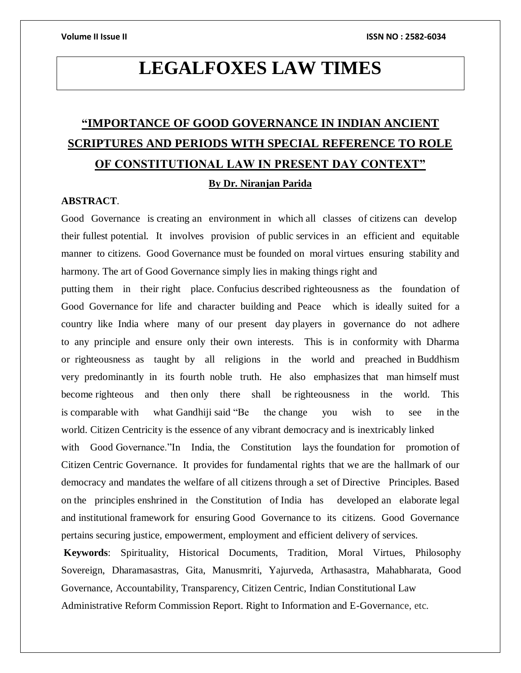# **LEGALFOXES LAW TIMES**

# **"IMPORTANCE OF GOOD GOVERNANCE IN INDIAN ANCIENT SCRIPTURES AND PERIODS WITH SPECIAL REFERENCE TO ROLE OF CONSTITUTIONAL LAW IN PRESENT DAY CONTEXT" By Dr. Niranjan Parida**

# **ABSTRACT**.

Good Governance is creating an environment in which all classes of citizens can develop their fullest potential. It involves provision of public services in an efficient and equitable manner to citizens. Good Governance must be founded on moral virtues ensuring stability and harmony. The art of Good Governance simply lies in making things right and

putting them in their right place. Confucius described righteousness as the foundation of Good Governance for life and character building and Peace which is ideally suited for a country like India where many of our present day players in governance do not adhere to any principle and ensure only their own interests. This is in conformity with Dharma or righteousness as taught by all religions in the world and preached in Buddhism very predominantly in its fourth noble truth. He also emphasizes that man himself must become righteous and then only there shall be righteousness in the world. This is comparable with what Gandhiji said "Be the change you wish to see in the world. Citizen Centricity is the essence of any vibrant democracy and is inextricably linked

with Good Governance."In India, the Constitution lays the foundation for promotion of Citizen Centric Governance. It provides for fundamental rights that we are the hallmark of our democracy and mandates the welfare of all citizens through a set of Directive Principles. Based on the principles enshrined in the Constitution of India has developed an elaborate legal and institutional framework for ensuring Good Governance to its citizens. Good Governance pertains securing justice, empowerment, employment and efficient delivery of services.

**Keywords**: Spirituality, Historical Documents, Tradition, Moral Virtues, Philosophy Sovereign, Dharamasastras, Gita, Manusmriti, Yajurveda, Arthasastra, Mahabharata, Good Governance, Accountability, Transparency, Citizen Centric, Indian Constitutional Law Administrative Reform Commission Report. Right to Information and E-Governance, etc.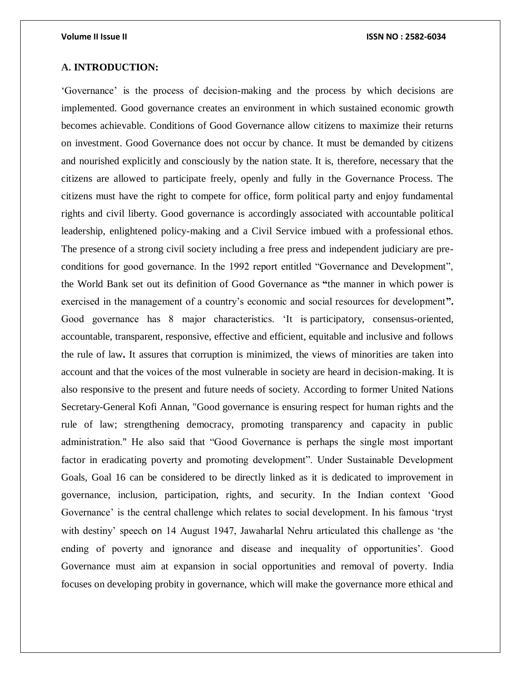# **A. INTRODUCTION:**

'Governance' is the process of decision-making and the process by which decisions are implemented. Good governance creates an environment in which sustained economic growth becomes achievable. Conditions of Good Governance allow citizens to maximize their returns on investment. Good Governance does not occur by chance. It must be demanded by citizens and nourished explicitly and consciously by the nation state. It is, therefore, necessary that the citizens are allowed to participate freely, openly and fully in the Governance Process. The citizens must have the right to compete for office, form political party and enjoy fundamental rights and civil liberty. Good governance is accordingly associated with accountable political leadership, enlightened policy-making and a Civil Service imbued with a professional ethos. The presence of a strong civil society including a free press and independent judiciary are preconditions for good governance. In the 1992 report entitled "Governance and Development", the World Bank set out its definition of Good Governance as **"**the manner in which power is exercised in the management of a country's economic and social resources for development**".**  Good governance has 8 major characteristics. 'It is participatory, consensus-oriented, accountable, transparent, responsive, effective and efficient, equitable and inclusive and follows the rule of law**.** It assures that corruption is minimized, the views of minorities are taken into account and that the voices of the most vulnerable in society are heard in decision-making. It is also responsive to the present and future needs of society. According to former United Nations Secretary-General Kofi Annan, "Good governance is ensuring respect for human rights and the rule of law; strengthening democracy, promoting transparency and capacity in public administration." He also said that "Good Governance is perhaps the single most important factor in eradicating poverty and promoting development". Under Sustainable Development Goals, Goal 16 can be considered to be directly linked as it is dedicated to improvement in governance, inclusion, participation, rights, and security. In the Indian context 'Good Governance' is the central challenge which relates to social development. In his famous 'tryst with destiny' speech on 14 August 1947, Jawaharlal Nehru articulated this challenge as 'the ending of poverty and ignorance and disease and inequality of opportunities'. Good Governance must aim at expansion in social opportunities and removal of poverty. India focuses on developing probity in governance, which will make the governance more ethical and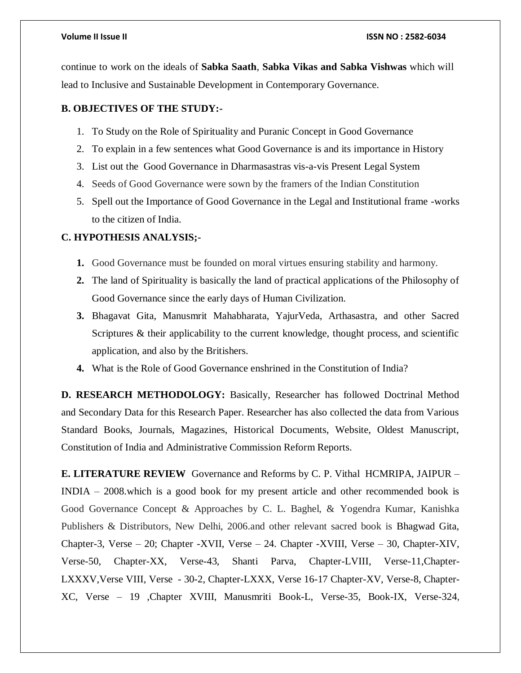continue to work on the ideals of **Sabka Saath**, **Sabka Vikas and Sabka Vishwas** which will lead to Inclusive and Sustainable Development in Contemporary Governance.

# **B. OBJECTIVES OF THE STUDY:-**

- 1. To Study on the Role of Spirituality and Puranic Concept in Good Governance
- 2. To explain in a few sentences what Good Governance is and its importance in History
- 3. List out the Good Governance in Dharmasastras vis-a-vis Present Legal System
- 4. Seeds of Good Governance were sown by the framers of the Indian Constitution
- 5. Spell out the Importance of Good Governance in the Legal and Institutional frame -works to the citizen of India.

# **C. HYPOTHESIS ANALYSIS;-**

- **1.** Good Governance must be founded on moral virtues ensuring stability and harmony.
- **2.** The land of Spirituality is basically the land of practical applications of the Philosophy of Good Governance since the early days of Human Civilization.
- **3.** Bhagavat Gita, Manusmrit Mahabharata, YajurVeda, Arthasastra, and other Sacred Scriptures & their applicability to the current knowledge, thought process, and scientific application, and also by the Britishers.
- **4.** What is the Role of Good Governance enshrined in the Constitution of India?

**D. RESEARCH METHODOLOGY:** Basically, Researcher has followed Doctrinal Method and Secondary Data for this Research Paper. Researcher has also collected the data from Various Standard Books, Journals, Magazines, Historical Documents, Website, Oldest Manuscript, Constitution of India and Administrative Commission Reform Reports.

**E. LITERATURE REVIEW** Governance and Reforms by C. P. Vithal HCMRIPA, JAIPUR – INDIA – 2008.which is a good book for my present article and other recommended book is Good Governance Concept & Approaches by C. L. Baghel, & Yogendra Kumar, Kanishka Publishers & Distributors, New Delhi, 2006.and other relevant sacred book is Bhagwad Gita, Chapter-3, Verse – 20; Chapter -XVII, Verse – 24. Chapter -XVIII, Verse – 30, Chapter-XIV, Verse-50, Chapter-XX, Verse-43, Shanti Parva, Chapter-LVIII, Verse-11,Chapter-LXXXV,Verse VIII, Verse - 30-2, Chapter-LXXX, Verse 16-17 Chapter-XV, Verse-8, Chapter-XC, Verse – 19 ,Chapter XVIII, Manusmriti Book-L, Verse-35, Book-IX, Verse-324,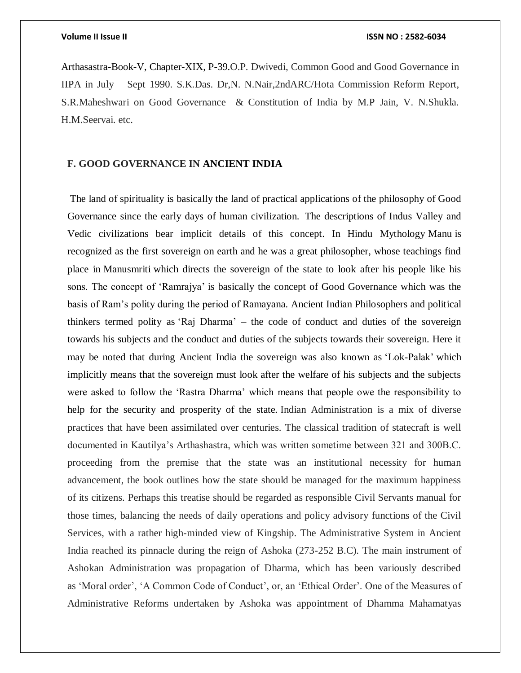Arthasastra-Book-V, Chapter-XIX, P-39.O.P. Dwivedi, Common Good and Good Governance in IIPA in July – Sept 1990. S.K.Das. Dr,N. N.Nair,2ndARC/Hota Commission Reform Report, S.R.Maheshwari on Good Governance & Constitution of India by M.P Jain, V. N.Shukla. H.M.Seervai. etc.

# **F. GOOD GOVERNANCE IN ANCIENT INDIA**

The land of spirituality is basically the land of practical applications of the philosophy of Good Governance since the early days of human civilization. The descriptions of Indus Valley and Vedic civilizations bear implicit details of this concept. In Hindu Mythology Manu is recognized as the first sovereign on earth and he was a great philosopher, whose teachings find place in Manusmriti which directs the sovereign of the state to look after his people like his sons. The concept of 'Ramrajya' is basically the concept of Good Governance which was the basis of Ram's polity during the period of Ramayana. Ancient Indian Philosophers and political thinkers termed polity as 'Raj Dharma' – the code of conduct and duties of the sovereign towards his subjects and the conduct and duties of the subjects towards their sovereign. Here it may be noted that during Ancient India the sovereign was also known as 'Lok-Palak' which implicitly means that the sovereign must look after the welfare of his subjects and the subjects were asked to follow the 'Rastra Dharma' which means that people owe the responsibility to help for the security and prosperity of the state. Indian Administration is a mix of diverse practices that have been assimilated over centuries. The classical tradition of statecraft is well documented in Kautilya's Arthashastra, which was written sometime between 321 and 300B.C. proceeding from the premise that the state was an institutional necessity for human advancement, the book outlines how the state should be managed for the maximum happiness of its citizens. Perhaps this treatise should be regarded as responsible Civil Servants manual for those times, balancing the needs of daily operations and policy advisory functions of the Civil Services, with a rather high-minded view of Kingship. The Administrative System in Ancient India reached its pinnacle during the reign of Ashoka (273-252 B.C). The main instrument of Ashokan Administration was propagation of Dharma, which has been variously described as 'Moral order', 'A Common Code of Conduct', or, an 'Ethical Order'. One of the Measures of Administrative Reforms undertaken by Ashoka was appointment of Dhamma Mahamatyas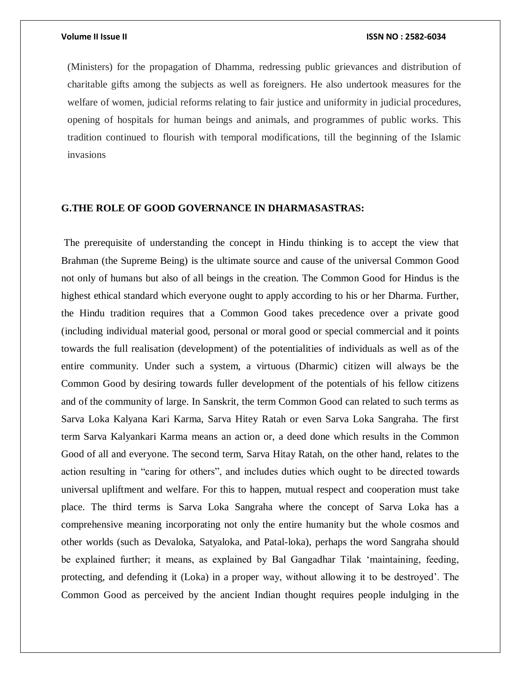(Ministers) for the propagation of Dhamma, redressing public grievances and distribution of charitable gifts among the subjects as well as foreigners. He also undertook measures for the welfare of women, judicial reforms relating to fair justice and uniformity in judicial procedures, opening of hospitals for human beings and animals, and programmes of public works. This tradition continued to flourish with temporal modifications, till the beginning of the Islamic invasions

# **G.THE ROLE OF GOOD GOVERNANCE IN DHARMASASTRAS:**

The prerequisite of understanding the concept in Hindu thinking is to accept the view that Brahman (the Supreme Being) is the ultimate source and cause of the universal Common Good not only of humans but also of all beings in the creation. The Common Good for Hindus is the highest ethical standard which everyone ought to apply according to his or her Dharma. Further, the Hindu tradition requires that a Common Good takes precedence over a private good (including individual material good, personal or moral good or special commercial and it points towards the full realisation (development) of the potentialities of individuals as well as of the entire community. Under such a system, a virtuous (Dharmic) citizen will always be the Common Good by desiring towards fuller development of the potentials of his fellow citizens and of the community of large. In Sanskrit, the term Common Good can related to such terms as Sarva Loka Kalyana Kari Karma, Sarva Hitey Ratah or even Sarva Loka Sangraha. The first term Sarva Kalyankari Karma means an action or, a deed done which results in the Common Good of all and everyone. The second term, Sarva Hitay Ratah, on the other hand, relates to the action resulting in "caring for others", and includes duties which ought to be directed towards universal upliftment and welfare. For this to happen, mutual respect and cooperation must take place. The third terms is Sarva Loka Sangraha where the concept of Sarva Loka has a comprehensive meaning incorporating not only the entire humanity but the whole cosmos and other worlds (such as Devaloka, Satyaloka, and Patal-loka), perhaps the word Sangraha should be explained further; it means, as explained by Bal Gangadhar Tilak 'maintaining, feeding, protecting, and defending it (Loka) in a proper way, without allowing it to be destroyed'. The Common Good as perceived by the ancient Indian thought requires people indulging in the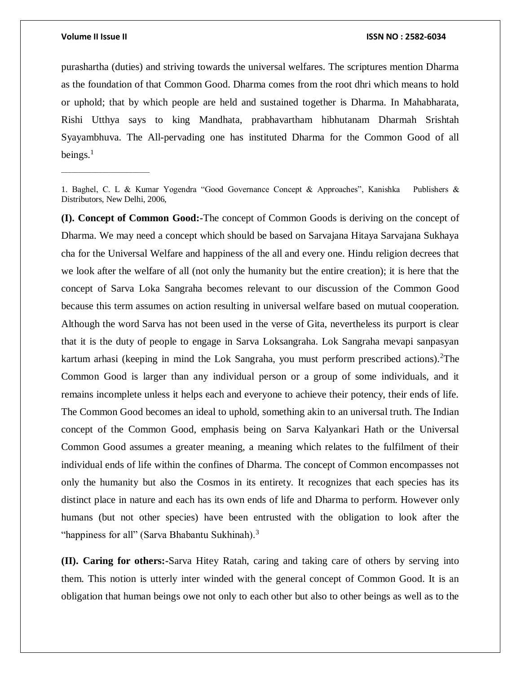$\_$ 

### **Volume II Issue II ISSN NO : 2582-6034**

purashartha (duties) and striving towards the universal welfares. The scriptures mention Dharma as the foundation of that Common Good. Dharma comes from the root dhri which means to hold or uphold; that by which people are held and sustained together is Dharma. In Mahabharata, Rishi Utthya says to king Mandhata, prabhavartham hibhutanam Dharmah Srishtah Syayambhuva. The All-pervading one has instituted Dharma for the Common Good of all beings. $<sup>1</sup>$ </sup>

**(I). Concept of Common Good:-**The concept of Common Goods is deriving on the concept of Dharma. We may need a concept which should be based on Sarvajana Hitaya Sarvajana Sukhaya cha for the Universal Welfare and happiness of the all and every one. Hindu religion decrees that we look after the welfare of all (not only the humanity but the entire creation); it is here that the concept of Sarva Loka Sangraha becomes relevant to our discussion of the Common Good because this term assumes on action resulting in universal welfare based on mutual cooperation. Although the word Sarva has not been used in the verse of Gita, nevertheless its purport is clear that it is the duty of people to engage in Sarva Loksangraha. Lok Sangraha mevapi sanpasyan kartum arhasi (keeping in mind the Lok Sangraha, you must perform prescribed actions). <sup>2</sup>The Common Good is larger than any individual person or a group of some individuals, and it remains incomplete unless it helps each and everyone to achieve their potency, their ends of life. The Common Good becomes an ideal to uphold, something akin to an universal truth. The Indian concept of the Common Good, emphasis being on Sarva Kalyankari Hath or the Universal Common Good assumes a greater meaning, a meaning which relates to the fulfilment of their individual ends of life within the confines of Dharma. The concept of Common encompasses not only the humanity but also the Cosmos in its entirety. It recognizes that each species has its distinct place in nature and each has its own ends of life and Dharma to perform. However only humans (but not other species) have been entrusted with the obligation to look after the "happiness for all" (Sarva Bhabantu Sukhinah). $3$ 

**(II). Caring for others:-**Sarva Hitey Ratah, caring and taking care of others by serving into them. This notion is utterly inter winded with the general concept of Common Good. It is an obligation that human beings owe not only to each other but also to other beings as well as to the

<sup>1.</sup> Baghel, C. L & Kumar Yogendra "Good Governance Concept & Approaches", Kanishka Publishers & Distributors, New Delhi, 2006,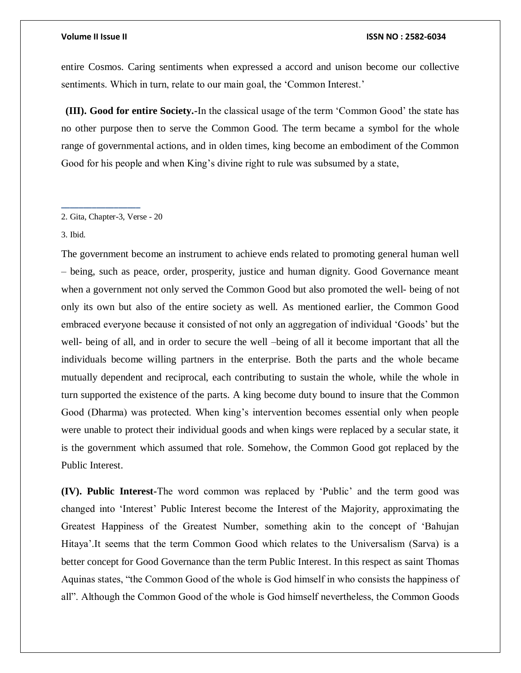entire Cosmos. Caring sentiments when expressed a accord and unison become our collective sentiments. Which in turn, relate to our main goal, the 'Common Interest.'

**(III). Good for entire Society.-**In the classical usage of the term 'Common Good' the state has no other purpose then to serve the Common Good. The term became a symbol for the whole range of governmental actions, and in olden times, king become an embodiment of the Common Good for his people and when King's divine right to rule was subsumed by a state,

### 2. Gita, Chapter-3, Verse - 20

**\_\_\_\_\_\_\_\_\_\_\_\_\_\_\_\_\_\_**

3. Ibid.

The government become an instrument to achieve ends related to promoting general human well – being, such as peace, order, prosperity, justice and human dignity. Good Governance meant when a government not only served the Common Good but also promoted the well- being of not only its own but also of the entire society as well. As mentioned earlier, the Common Good embraced everyone because it consisted of not only an aggregation of individual 'Goods' but the well- being of all, and in order to secure the well –being of all it become important that all the individuals become willing partners in the enterprise. Both the parts and the whole became mutually dependent and reciprocal, each contributing to sustain the whole, while the whole in turn supported the existence of the parts. A king become duty bound to insure that the Common Good (Dharma) was protected. When king's intervention becomes essential only when people were unable to protect their individual goods and when kings were replaced by a secular state, it is the government which assumed that role. Somehow, the Common Good got replaced by the Public Interest.

**(IV). Public Interest-**The word common was replaced by 'Public' and the term good was changed into 'Interest' Public Interest become the Interest of the Majority, approximating the Greatest Happiness of the Greatest Number, something akin to the concept of 'Bahujan Hitaya'.It seems that the term Common Good which relates to the Universalism (Sarva) is a better concept for Good Governance than the term Public Interest. In this respect as saint Thomas Aquinas states, "the Common Good of the whole is God himself in who consists the happiness of all". Although the Common Good of the whole is God himself nevertheless, the Common Goods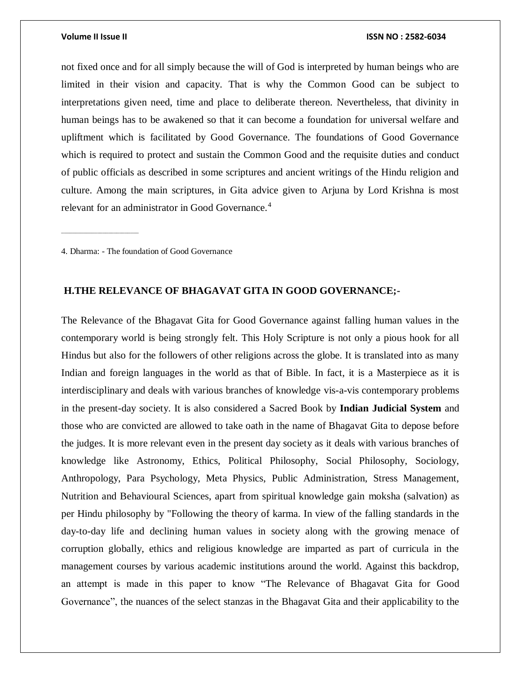\_\_\_\_\_\_\_\_\_\_\_\_\_\_\_\_\_\_\_\_\_\_\_\_\_\_\_\_

### **Volume II Issue II ISSN NO : 2582-6034**

not fixed once and for all simply because the will of God is interpreted by human beings who are limited in their vision and capacity. That is why the Common Good can be subject to interpretations given need, time and place to deliberate thereon. Nevertheless, that divinity in human beings has to be awakened so that it can become a foundation for universal welfare and upliftment which is facilitated by Good Governance. The foundations of Good Governance which is required to protect and sustain the Common Good and the requisite duties and conduct of public officials as described in some scriptures and ancient writings of the Hindu religion and culture. Among the main scriptures, in Gita advice given to Arjuna by Lord Krishna is most relevant for an administrator in Good Governance.<sup>4</sup>

4. Dharma: - The foundation of Good Governance

# **H.THE RELEVANCE OF BHAGAVAT GITA IN GOOD GOVERNANCE;-**

The Relevance of the Bhagavat Gita for Good Governance against falling human values in the contemporary world is being strongly felt. This Holy Scripture is not only a pious hook for all Hindus but also for the followers of other religions across the globe. It is translated into as many Indian and foreign languages in the world as that of Bible. In fact, it is a Masterpiece as it is interdisciplinary and deals with various branches of knowledge vis-a-vis contemporary problems in the present-day society. It is also considered a Sacred Book by **Indian Judicial System** and those who are convicted are allowed to take oath in the name of Bhagavat Gita to depose before the judges. It is more relevant even in the present day society as it deals with various branches of knowledge like Astronomy, Ethics, Political Philosophy, Social Philosophy, Sociology, Anthropology, Para Psychology, Meta Physics, Public Administration, Stress Management, Nutrition and Behavioural Sciences, apart from spiritual knowledge gain moksha (salvation) as per Hindu philosophy by "Following the theory of karma. In view of the falling standards in the day-to-day life and declining human values in society along with the growing menace of corruption globally, ethics and religious knowledge are imparted as part of curricula in the management courses by various academic institutions around the world. Against this backdrop, an attempt is made in this paper to know "The Relevance of Bhagavat Gita for Good Governance", the nuances of the select stanzas in the Bhagavat Gita and their applicability to the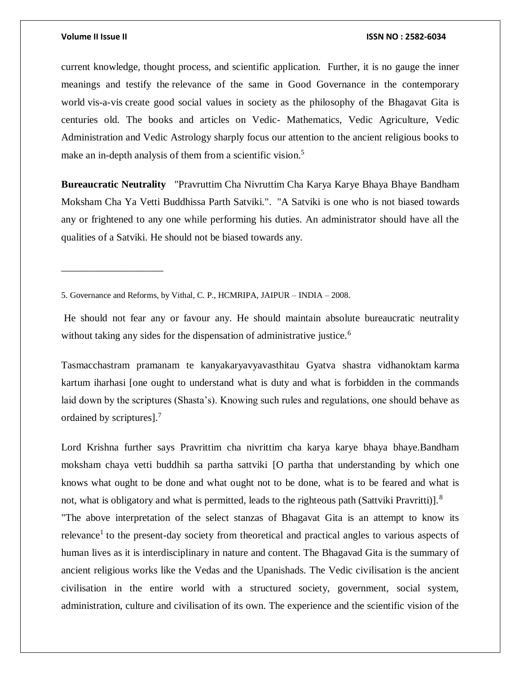\_\_\_\_\_\_\_\_\_\_\_\_\_\_\_\_\_\_\_\_

### **Volume II Issue II ISSN NO : 2582-6034**

current knowledge, thought process, and scientific application. Further, it is no gauge the inner meanings and testify the relevance of the same in Good Governance in the contemporary world vis-a-vis create good social values in society as the philosophy of the Bhagavat Gita is centuries old. The books and articles on Vedic- Mathematics, Vedic Agriculture, Vedic Administration and Vedic Astrology sharply focus our attention to the ancient religious books to make an in-depth analysis of them from a scientific vision.<sup>5</sup>

**Bureaucratic Neutrality** "Pravruttim Cha Nivruttim Cha Karya Karye Bhaya Bhaye Bandham Moksham Cha Ya Vetti Buddhissa Parth Satviki.". "A Satviki is one who is not biased towards any or frightened to any one while performing his duties. An administrator should have all the qualities of a Satviki. He should not be biased towards any.

Tasmacchastram pramanam te kanyakaryavyavasthitau Gyatva shastra vidhanoktam karma kartum iharhasi [one ought to understand what is duty and what is forbidden in the commands laid down by the scriptures (Shasta's). Knowing such rules and regulations, one should behave as ordained by scriptures].<sup>7</sup>

Lord Krishna further says Pravrittim cha nivrittim cha karya karye bhaya bhaye.Bandham moksham chaya vetti buddhih sa partha sattviki [O partha that understanding by which one knows what ought to be done and what ought not to be done, what is to be feared and what is not, what is obligatory and what is permitted, leads to the righteous path (Sattviki Pravritti)].<sup>8</sup> "The above interpretation of the select stanzas of Bhagavat Gita is an attempt to know its relevance<sup>1</sup> to the present-day society from theoretical and practical angles to various aspects of human lives as it is interdisciplinary in nature and content. The Bhagavad Gita is the summary of ancient religious works like the Vedas and the Upanishads. The Vedic civilisation is the ancient civilisation in the entire world with a structured society, government, social system, administration, culture and civilisation of its own. The experience and the scientific vision of the

<sup>5.</sup> Governance and Reforms, by Vithal, C. P., HCMRIPA, JAIPUR – INDIA – 2008.

He should not fear any or favour any. He should maintain absolute bureaucratic neutrality without taking any sides for the dispensation of administrative justice.<sup>6</sup>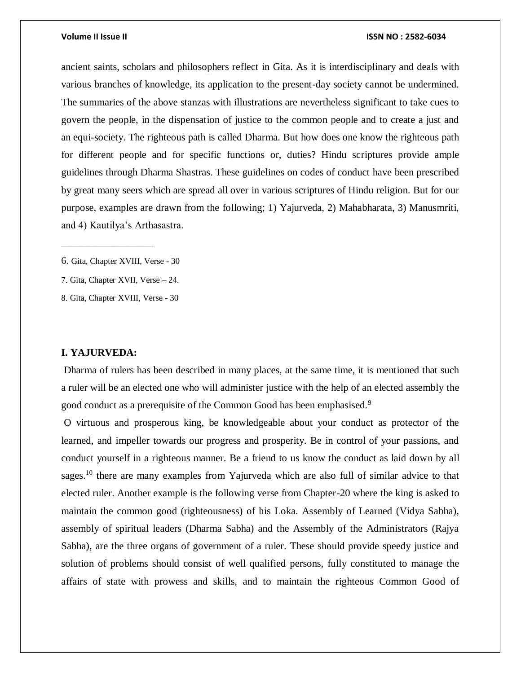ancient saints, scholars and philosophers reflect in Gita. As it is interdisciplinary and deals with various branches of knowledge, its application to the present-day society cannot be undermined. The summaries of the above stanzas with illustrations are nevertheless significant to take cues to govern the people, in the dispensation of justice to the common people and to create a just and an equi-society. The righteous path is called Dharma. But how does one know the righteous path for different people and for specific functions or, duties? Hindu scriptures provide ample guidelines through Dharma Shastras. These guidelines on codes of conduct have been prescribed by great many seers which are spread all over in various scriptures of Hindu religion. But for our purpose, examples are drawn from the following; 1) Yajurveda, 2) Mahabharata, 3) Manusmriti, and 4) Kautilya's Arthasastra.

\_\_\_\_\_\_\_\_\_\_\_\_\_\_\_\_\_\_

7. Gita, Chapter XVII, Verse – 24.

8. Gita, Chapter XVIII, Verse - 30

# **I. YAJURVEDA:**

Dharma of rulers has been described in many places, at the same time, it is mentioned that such a ruler will be an elected one who will administer justice with the help of an elected assembly the good conduct as a prerequisite of the Common Good has been emphasised.<sup>9</sup>

O virtuous and prosperous king, be knowledgeable about your conduct as protector of the learned, and impeller towards our progress and prosperity. Be in control of your passions, and conduct yourself in a righteous manner. Be a friend to us know the conduct as laid down by all sages.<sup>10</sup> there are many examples from Yajurveda which are also full of similar advice to that elected ruler. Another example is the following verse from Chapter-20 where the king is asked to maintain the common good (righteousness) of his Loka. Assembly of Learned (Vidya Sabha), assembly of spiritual leaders (Dharma Sabha) and the Assembly of the Administrators (Rajya Sabha), are the three organs of government of a ruler. These should provide speedy justice and solution of problems should consist of well qualified persons, fully constituted to manage the affairs of state with prowess and skills, and to maintain the righteous Common Good of

<sup>6.</sup> Gita, Chapter XVIII, Verse - 30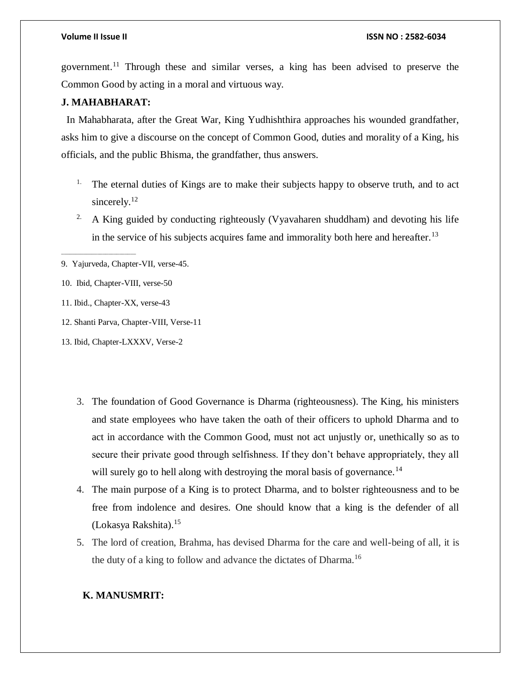government.<sup>11</sup> Through these and similar verses, a king has been advised to preserve the Common Good by acting in a moral and virtuous way.

# **J. MAHABHARAT:**

 In Mahabharata, after the Great War, King Yudhishthira approaches his wounded grandfather, asks him to give a discourse on the concept of Common Good, duties and morality of a King, his officials, and the public Bhisma, the grandfather, thus answers.

- <sup>1.</sup> The eternal duties of Kings are to make their subjects happy to observe truth, and to act sincerely.<sup>12</sup>
- <sup>2.</sup> A King guided by conducting righteously (Vyavaharen shuddham) and devoting his life in the service of his subjects acquires fame and immorality both here and hereafter.<sup>13</sup>

9. Yajurveda, Chapter-VII, verse-45.

10. Ibid, Chapter-VIII, verse-50

\_\_\_\_\_\_\_\_\_\_\_\_\_\_\_\_\_\_\_\_\_\_\_\_\_\_\_

- 11. Ibid., Chapter-XX, verse-43
- 12. Shanti Parva, Chapter-VIII, Verse-11

13. Ibid, Chapter-LXXXV, Verse-2

- 3. The foundation of Good Governance is Dharma (righteousness). The King, his ministers and state employees who have taken the oath of their officers to uphold Dharma and to act in accordance with the Common Good, must not act unjustly or, unethically so as to secure their private good through selfishness. If they don't behave appropriately, they all will surely go to hell along with destroying the moral basis of governance.<sup>14</sup>
- 4. The main purpose of a King is to protect Dharma, and to bolster righteousness and to be free from indolence and desires. One should know that a king is the defender of all (Lokasya Rakshita).<sup>15</sup>
- 5. The lord of creation, Brahma, has devised Dharma for the care and well-being of all, it is the duty of a king to follow and advance the dictates of Dharma.<sup>16</sup>

# **K. MANUSMRIT:**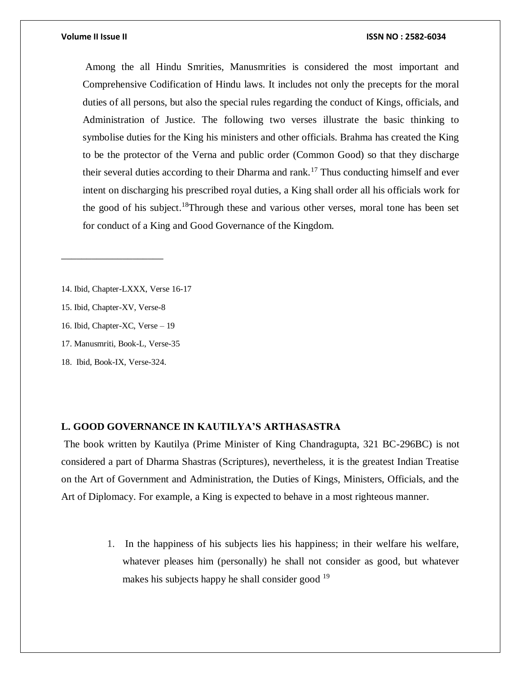Among the all Hindu Smrities, Manusmrities is considered the most important and Comprehensive Codification of Hindu laws. It includes not only the precepts for the moral duties of all persons, but also the special rules regarding the conduct of Kings, officials, and Administration of Justice. The following two verses illustrate the basic thinking to symbolise duties for the King his ministers and other officials. Brahma has created the King to be the protector of the Verna and public order (Common Good) so that they discharge their several duties according to their Dharma and rank.<sup>17</sup> Thus conducting himself and ever intent on discharging his prescribed royal duties, a King shall order all his officials work for the good of his subject.<sup>18</sup>Through these and various other verses, moral tone has been set for conduct of a King and Good Governance of the Kingdom.

- 14. Ibid, Chapter-LXXX, Verse 16-17
- 15. Ibid, Chapter-XV, Verse-8

\_\_\_\_\_\_\_\_\_\_\_\_\_\_\_\_\_\_\_\_

- 16. Ibid, Chapter-XC, Verse 19
- 17. Manusmriti, Book-L, Verse-35
- 18. Ibid, Book-IX, Verse-324.

### **L. GOOD GOVERNANCE IN KAUTILYA'S ARTHASASTRA**

The book written by Kautilya (Prime Minister of King Chandragupta, 321 BC-296BC) is not considered a part of Dharma Shastras (Scriptures), nevertheless, it is the greatest Indian Treatise on the Art of Government and Administration, the Duties of Kings, Ministers, Officials, and the Art of Diplomacy. For example, a King is expected to behave in a most righteous manner.

> 1. In the happiness of his subjects lies his happiness; in their welfare his welfare, whatever pleases him (personally) he shall not consider as good, but whatever makes his subjects happy he shall consider good  $19$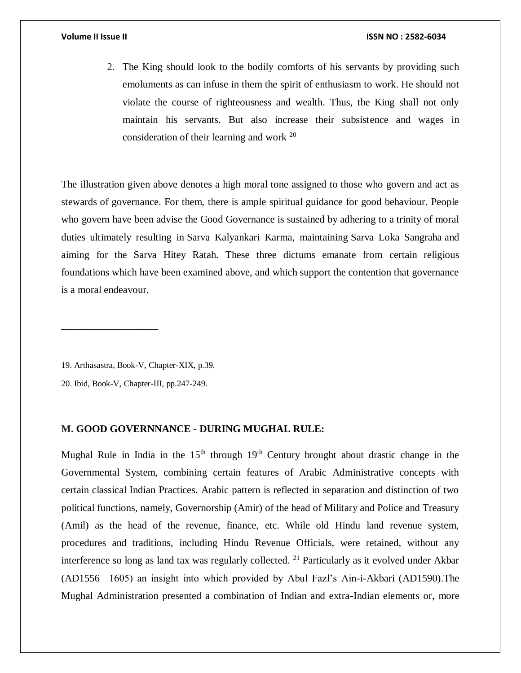2. The King should look to the bodily comforts of his servants by providing such emoluments as can infuse in them the spirit of enthusiasm to work. He should not violate the course of righteousness and wealth. Thus, the King shall not only maintain his servants. But also increase their subsistence and wages in consideration of their learning and work <sup>20</sup>

The illustration given above denotes a high moral tone assigned to those who govern and act as stewards of governance. For them, there is ample spiritual guidance for good behaviour. People who govern have been advise the Good Governance is sustained by adhering to a trinity of moral duties ultimately resulting in Sarva Kalyankari Karma, maintaining Sarva Loka Sangraha and aiming for the Sarva Hitey Ratah. These three dictums emanate from certain religious foundations which have been examined above, and which support the contention that governance is a moral endeavour.

19. Arthasastra, Book-V, Chapter-XIX, p.39.

\_\_\_\_\_\_\_\_\_\_\_\_\_\_\_\_\_\_\_

20. Ibid, Book-V, Chapter-III, pp.247-249.

### **M. GOOD GOVERNNANCE - DURING MUGHAL RULE:**

Mughal Rule in India in the  $15<sup>th</sup>$  through  $19<sup>th</sup>$  Century brought about drastic change in the Governmental System, combining certain features of Arabic Administrative concepts with certain classical Indian Practices. Arabic pattern is reflected in separation and distinction of two political functions, namely, Governorship (Amir) of the head of Military and Police and Treasury (Amil) as the head of the revenue, finance, etc. While old Hindu land revenue system, procedures and traditions, including Hindu Revenue Officials, were retained, without any interference so long as land tax was regularly collected. <sup>21</sup> Particularly as it evolved under Akbar (AD1556 –1605) an insight into which provided by Abul Fazl's Ain-i-Akbari (AD1590).The Mughal Administration presented a combination of Indian and extra-Indian elements or, more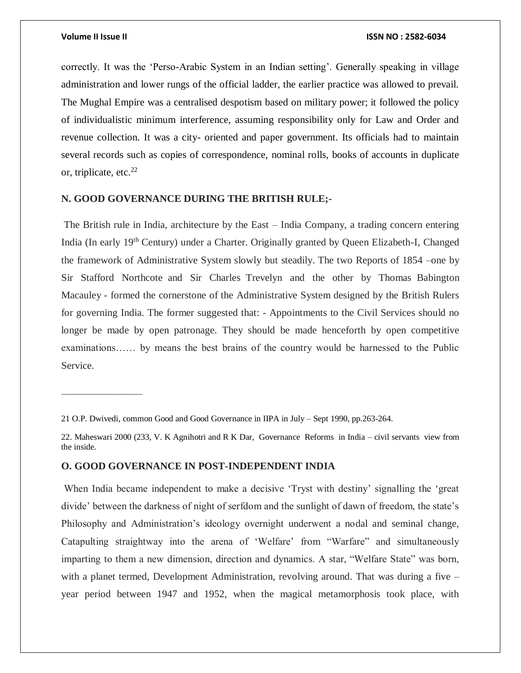\_\_\_\_\_\_\_\_\_\_\_\_\_\_\_\_\_\_\_

correctly. It was the 'Perso-Arabic System in an Indian setting'. Generally speaking in village administration and lower rungs of the official ladder, the earlier practice was allowed to prevail. The Mughal Empire was a centralised despotism based on military power; it followed the policy of individualistic minimum interference, assuming responsibility only for Law and Order and revenue collection. It was a city- oriented and paper government. Its officials had to maintain several records such as copies of correspondence, nominal rolls, books of accounts in duplicate or, triplicate, etc. $^{22}$ 

# **N. GOOD GOVERNANCE DURING THE BRITISH RULE;-**

The British rule in India, architecture by the East – India Company, a trading concern entering India (In early 19<sup>th</sup> Century) under a Charter. Originally granted by Queen Elizabeth-I, Changed the framework of Administrative System slowly but steadily. The two Reports of 1854 –one by Sir Stafford Northcote and Sir Charles Trevelyn and the other by Thomas Babington Macauley - formed the cornerstone of the Administrative System designed by the British Rulers for governing India. The former suggested that: - Appointments to the Civil Services should no longer be made by open patronage. They should be made henceforth by open competitive examinations…… by means the best brains of the country would be harnessed to the Public Service.

### **O. GOOD GOVERNANCE IN POST-INDEPENDENT INDIA**

When India became independent to make a decisive 'Tryst with destiny' signalling the 'great divide' between the darkness of night of serfdom and the sunlight of dawn of freedom, the state's Philosophy and Administration's ideology overnight underwent a nodal and seminal change, Catapulting straightway into the arena of 'Welfare' from "Warfare" and simultaneously imparting to them a new dimension, direction and dynamics. A star, "Welfare State" was born, with a planet termed, Development Administration, revolving around. That was during a five – year period between 1947 and 1952, when the magical metamorphosis took place, with

<sup>21</sup> O.P. Dwivedi, common Good and Good Governance in IIPA in July – Sept 1990, pp.263-264.

<sup>22.</sup> Maheswari 2000 (233, V. K Agnihotri and R K Dar, Governance Reforms in India – civil servants view from the inside.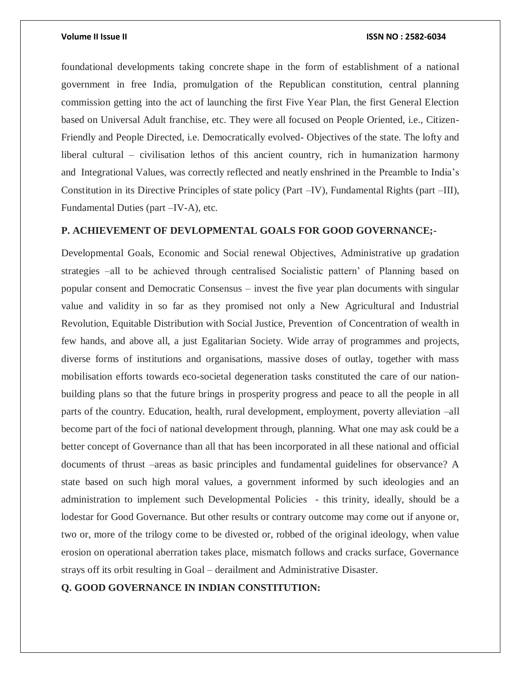foundational developments taking concrete shape in the form of establishment of a national government in free India, promulgation of the Republican constitution, central planning commission getting into the act of launching the first Five Year Plan, the first General Election based on Universal Adult franchise, etc. They were all focused on People Oriented, i.e., Citizen-Friendly and People Directed, i.e. Democratically evolved- Objectives of the state. The lofty and liberal cultural – civilisation lethos of this ancient country, rich in humanization harmony and Integrational Values, was correctly reflected and neatly enshrined in the Preamble to India's Constitution in its Directive Principles of state policy (Part –IV), Fundamental Rights (part –III), Fundamental Duties (part –IV-A), etc.

# **P. ACHIEVEMENT OF DEVLOPMENTAL GOALS FOR GOOD GOVERNANCE;-**

Developmental Goals, Economic and Social renewal Objectives, Administrative up gradation strategies –all to be achieved through centralised Socialistic pattern' of Planning based on popular consent and Democratic Consensus – invest the five year plan documents with singular value and validity in so far as they promised not only a New Agricultural and Industrial Revolution, Equitable Distribution with Social Justice, Prevention of Concentration of wealth in few hands, and above all, a just Egalitarian Society. Wide array of programmes and projects, diverse forms of institutions and organisations, massive doses of outlay, together with mass mobilisation efforts towards eco-societal degeneration tasks constituted the care of our nationbuilding plans so that the future brings in prosperity progress and peace to all the people in all parts of the country. Education, health, rural development, employment, poverty alleviation –all become part of the foci of national development through, planning. What one may ask could be a better concept of Governance than all that has been incorporated in all these national and official documents of thrust –areas as basic principles and fundamental guidelines for observance? A state based on such high moral values, a government informed by such ideologies and an administration to implement such Developmental Policies - this trinity, ideally, should be a lodestar for Good Governance. But other results or contrary outcome may come out if anyone or, two or, more of the trilogy come to be divested or, robbed of the original ideology, when value erosion on operational aberration takes place, mismatch follows and cracks surface, Governance strays off its orbit resulting in Goal – derailment and Administrative Disaster.

**Q. GOOD GOVERNANCE IN INDIAN CONSTITUTION:**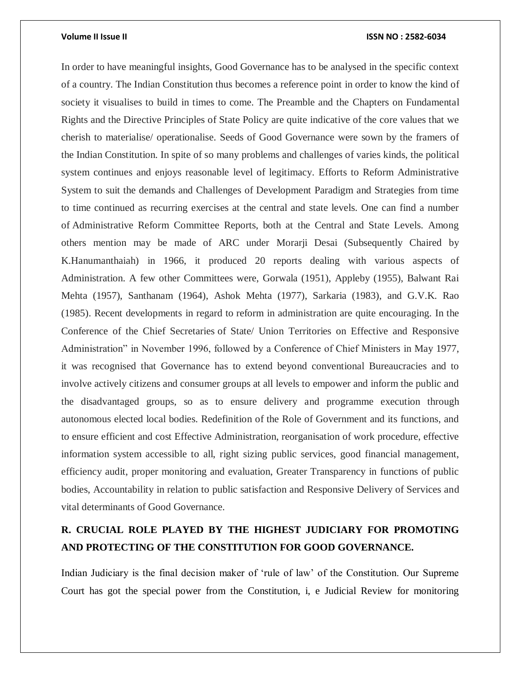In order to have meaningful insights, Good Governance has to be analysed in the specific context of a country. The Indian Constitution thus becomes a reference point in order to know the kind of society it visualises to build in times to come. The Preamble and the Chapters on Fundamental Rights and the Directive Principles of State Policy are quite indicative of the core values that we cherish to materialise/ operationalise. Seeds of Good Governance were sown by the framers of the Indian Constitution. In spite of so many problems and challenges of varies kinds, the political system continues and enjoys reasonable level of legitimacy. Efforts to Reform Administrative System to suit the demands and Challenges of Development Paradigm and Strategies from time to time continued as recurring exercises at the central and state levels. One can find a number of Administrative Reform Committee Reports, both at the Central and State Levels. Among others mention may be made of ARC under Morarji Desai (Subsequently Chaired by K.Hanumanthaiah) in 1966, it produced 20 reports dealing with various aspects of Administration. A few other Committees were, Gorwala (1951), Appleby (1955), Balwant Rai Mehta (1957), Santhanam (1964), Ashok Mehta (1977), Sarkaria (1983), and G.V.K. Rao (1985). Recent developments in regard to reform in administration are quite encouraging. In the Conference of the Chief Secretaries of State/ Union Territories on Effective and Responsive Administration" in November 1996, followed by a Conference of Chief Ministers in May 1977, it was recognised that Governance has to extend beyond conventional Bureaucracies and to involve actively citizens and consumer groups at all levels to empower and inform the public and the disadvantaged groups, so as to ensure delivery and programme execution through autonomous elected local bodies. Redefinition of the Role of Government and its functions, and to ensure efficient and cost Effective Administration, reorganisation of work procedure, effective information system accessible to all, right sizing public services, good financial management, efficiency audit, proper monitoring and evaluation, Greater Transparency in functions of public bodies, Accountability in relation to public satisfaction and Responsive Delivery of Services and vital determinants of Good Governance.

# **R. CRUCIAL ROLE PLAYED BY THE HIGHEST JUDICIARY FOR PROMOTING AND PROTECTING OF THE CONSTITUTION FOR GOOD GOVERNANCE.**

Indian Judiciary is the final decision maker of 'rule of law' of the Constitution. Our Supreme Court has got the special power from the Constitution, i, e Judicial Review for monitoring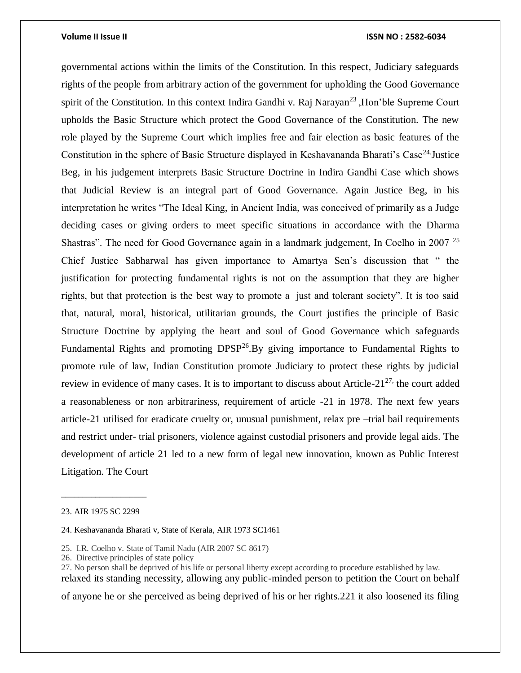governmental actions within the limits of the Constitution. In this respect, Judiciary safeguards rights of the people from arbitrary action of the government for upholding the Good Governance spirit of the Constitution. In this context Indira Gandhi v. Raj Narayan<sup>23</sup>, Hon'ble Supreme Court upholds the Basic Structure which protect the Good Governance of the Constitution. The new role played by the Supreme Court which implies free and fair election as basic features of the Constitution in the sphere of Basic Structure displayed in Keshavananda Bharati's Case<sup>24</sup>. Justice Beg, in his judgement interprets Basic Structure Doctrine in Indira Gandhi Case which shows that Judicial Review is an integral part of Good Governance. Again Justice Beg, in his interpretation he writes "The Ideal King, in Ancient India, was conceived of primarily as a Judge deciding cases or giving orders to meet specific situations in accordance with the Dharma Shastras". The need for Good Governance again in a landmark judgement, In Coelho in 2007<sup>25</sup> Chief Justice Sabharwal has given importance to Amartya Sen's discussion that " the justification for protecting fundamental rights is not on the assumption that they are higher rights, but that protection is the best way to promote a just and tolerant society". It is too said that, natural, moral, historical, utilitarian grounds, the Court justifies the principle of Basic Structure Doctrine by applying the heart and soul of Good Governance which safeguards Fundamental Rights and promoting  $DPSP^{26}$ . By giving importance to Fundamental Rights to promote rule of law, Indian Constitution promote Judiciary to protect these rights by judicial review in evidence of many cases. It is to important to discuss about Article- $21^{27}$ , the court added a reasonableness or non arbitrariness, requirement of article -21 in 1978. The next few years article-21 utilised for eradicate cruelty or, unusual punishment, relax pre –trial bail requirements and restrict under- trial prisoners, violence against custodial prisoners and provide legal aids. The development of article 21 led to a new form of legal new innovation, known as Public Interest Litigation. The Court

\_\_\_\_\_\_\_\_\_\_\_\_\_\_\_\_\_\_\_\_

- 25. I.R. Coelho v. State of Tamil Nadu (AIR 2007 SC 8617)
- 26. Directive principles of state policy

27. No person shall be deprived of his life or personal liberty except according to procedure established by law. relaxed its standing necessity, allowing any public-minded person to petition the Court on behalf

of anyone he or she perceived as being deprived of his or her rights.221 it also loosened its filing

<sup>23.</sup> AIR 1975 SC 2299

<sup>24.</sup> Keshavananda Bharati v, State of Kerala, AIR 1973 SC1461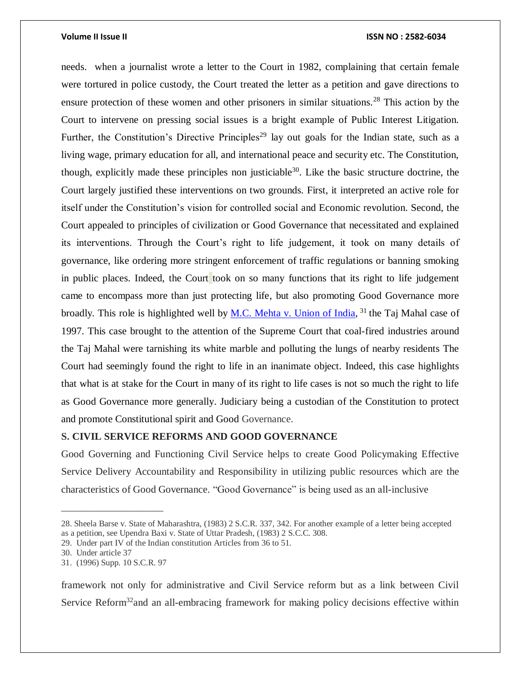needs. when a journalist wrote a letter to the Court in 1982, complaining that certain female were tortured in police custody, the Court treated the letter as a petition and gave directions to ensure protection of these women and other prisoners in similar situations.<sup>28</sup> This action by the Court to intervene on pressing social issues is a bright example of Public Interest Litigation. Further, the Constitution's Directive Principles<sup>29</sup> lay out goals for the Indian state, such as a living wage, primary education for all, and international peace and security etc. The Constitution, though, explicitly made these principles non justiciable<sup>30</sup>. Like the basic structure doctrine, the Court largely justified these interventions on two grounds. First, it interpreted an active role for itself under the Constitution's vision for controlled social and Economic revolution. Second, the Court appealed to principles of civilization or Good Governance that necessitated and explained its interventions. Through the Court's right to life judgement, it took on many details of governance, like ordering more stringent enforcement of traffic regulations or banning smoking in public places. Indeed, the Court took on so many functions that its right to life judgement came to encompass more than just protecting life, but also promoting Good Governance more broadly. This role is highlighted well by **M.C.** Mehta v. Union of India, <sup>31</sup> the Taj Mahal case of 1997. This case brought to the attention of the Supreme Court that coal-fired industries around the Taj Mahal were tarnishing its white marble and polluting the lungs of nearby residents The Court had seemingly found the right to life in an inanimate object. Indeed, this case highlights that what is at stake for the Court in many of its right to life cases is not so much the right to life as Good Governance more generally. Judiciary being a custodian of the Constitution to protect and promote Constitutional spirit and Good Governance.

# **S. CIVIL SERVICE REFORMS AND GOOD GOVERNANCE**

Good Governing and Functioning Civil Service helps to create Good Policymaking Effective Service Delivery Accountability and Responsibility in utilizing public resources which are the characteristics of Good Governance. "Good Governance" is being used as an all-inclusive

\_\_\_\_\_\_\_\_\_\_\_\_\_\_\_\_\_\_\_\_

framework not only for administrative and Civil Service reform but as a link between Civil Service Reform<sup>32</sup> and an all-embracing framework for making policy decisions effective within

<sup>28.</sup> Sheela Barse v. State of Maharashtra, (1983) 2 S.C.R. 337, 342. For another example of a letter being accepted as a petition, see Upendra Baxi v. State of Uttar Pradesh, (1983) 2 S.C.C. 308.

<sup>29.</sup> Under part IV of the Indian constitution Articles from 36 to 51.

<sup>30.</sup> Under article 37

<sup>31. (1996)</sup> Supp. 10 S.C.R. 97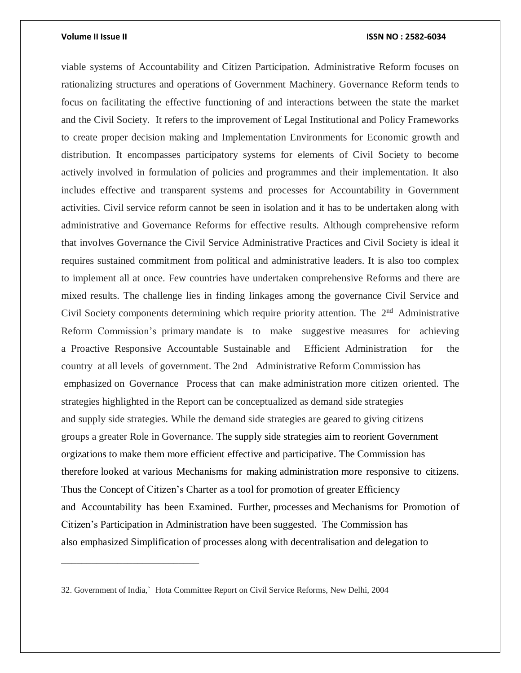viable systems of Accountability and Citizen Participation. Administrative Reform focuses on rationalizing structures and operations of Government Machinery. Governance Reform tends to focus on facilitating the effective functioning of and interactions between the state the market and the Civil Society. It refers to the improvement of Legal Institutional and Policy Frameworks to create proper decision making and Implementation Environments for Economic growth and distribution. It encompasses participatory systems for elements of Civil Society to become actively involved in formulation of policies and programmes and their implementation. It also includes effective and transparent systems and processes for Accountability in Government activities. Civil service reform cannot be seen in isolation and it has to be undertaken along with administrative and Governance Reforms for effective results. Although comprehensive reform that involves Governance the Civil Service Administrative Practices and Civil Society is ideal it requires sustained commitment from political and administrative leaders. It is also too complex to implement all at once. Few countries have undertaken comprehensive Reforms and there are mixed results. The challenge lies in finding linkages among the governance Civil Service and Civil Society components determining which require priority attention. The  $2<sup>nd</sup>$  Administrative Reform Commission's primary mandate is to make suggestive measures for achieving a Proactive Responsive Accountable Sustainable and Efficient Administration for the country at all levels of government. The 2nd Administrative Reform Commission has emphasized on Governance Process that can make administration more citizen oriented. The strategies highlighted in the Report can be conceptualized as demand side strategies and supply side strategies. While the demand side strategies are geared to giving citizens groups a greater Role in Governance. The supply side strategies aim to reorient Government orgizations to make them more efficient effective and participative. The Commission has therefore looked at various Mechanisms for making administration more responsive to citizens. Thus the Concept of Citizen's Charter as a tool for promotion of greater Efficiency and Accountability has been Examined. Further, processes and Mechanisms for Promotion of Citizen's Participation in Administration have been suggested. The Commission has also emphasized Simplification of processes along with decentralisation and delegation to

\_\_\_\_\_\_\_\_\_\_\_\_\_\_\_\_\_\_\_\_\_\_\_\_\_\_\_

<sup>32.</sup> Government of India,` Hota Committee Report on Civil Service Reforms, New Delhi, 2004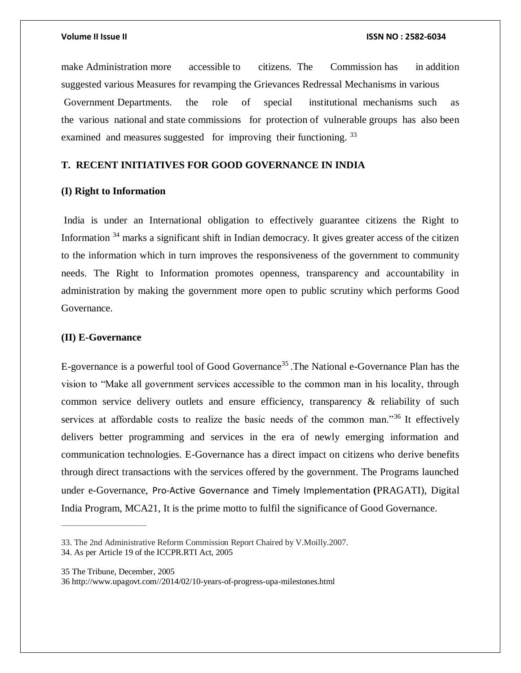make Administration more accessible to citizens. The Commission has in addition suggested various Measures for revamping the Grievances Redressal Mechanisms in various Government Departments. the role of special institutional mechanisms such as the various national and state commissions for protection of vulnerable groups has also been examined and measures suggested for improving their functioning.<sup>33</sup>

# **T. RECENT INITIATIVES FOR GOOD GOVERNANCE IN INDIA**

### **(I) Right to Information**

India is under an International obligation to effectively guarantee citizens the Right to Information <sup>34</sup> marks a significant shift in Indian democracy. It gives greater access of the citizen to the information which in turn improves the responsiveness of the government to community needs. The Right to Information promotes openness, transparency and accountability in administration by making the government more open to public scrutiny which performs Good Governance.

## **(II) E-Governance**

E-governance is a powerful tool of Good Governance<sup>35</sup>. The National e-Governance Plan has the vision to "Make all government services accessible to the common man in his locality, through common service delivery outlets and ensure efficiency, transparency & reliability of such services at affordable costs to realize the basic needs of the common man."<sup>36</sup> It effectively delivers better programming and services in the era of newly emerging information and communication technologies. E-Governance has a direct impact on citizens who derive benefits through direct transactions with the services offered by the government. The Programs launched under e-Governance, Pro-Active [Governance and Timely Implementation](https://www.drishtiias.com/daily-updates/daily-news-analysis/pm-to-chair-pragati-meeting) **(**PRAGATI), Digital India Program, MCA21, It is the prime motto to fulfil the significance of Good Governance.

\_\_\_\_\_\_\_\_\_\_\_\_\_\_\_\_\_\_\_\_\_\_\_\_\_

<sup>33.</sup> The 2nd Administrative Reform Commission Report Chaired by V.Moilly.2007.

<sup>34.</sup> As per Article 19 of the ICCPR.RTI Act, 2005

<sup>35</sup> The Tribune, December, 2005

<sup>36</sup> http://www.upagovt.com//2014/02/10-years-of-progress-upa-milestones.html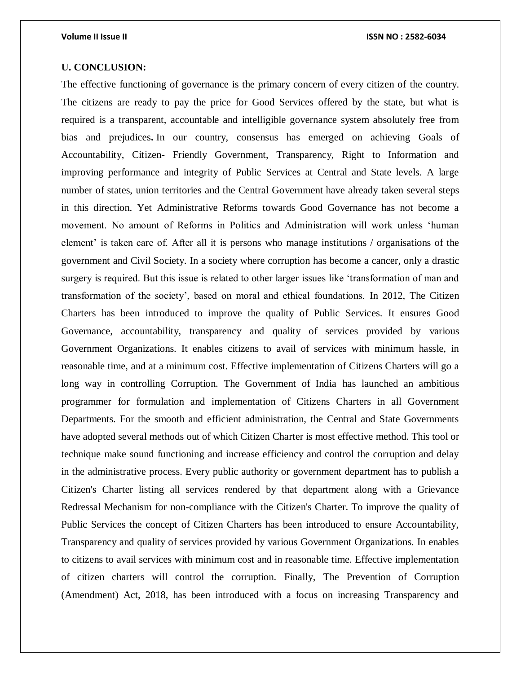# **U. CONCLUSION:**

The effective functioning of governance is the primary concern of every citizen of the country. The citizens are ready to pay the price for Good Services offered by the state, but what is required is a transparent, accountable and intelligible governance system absolutely free from bias and prejudices**.** In our country, consensus has emerged on achieving Goals of Accountability, Citizen- Friendly Government, Transparency, Right to Information and improving performance and integrity of Public Services at Central and State levels. A large number of states, union territories and the Central Government have already taken several steps in this direction. Yet Administrative Reforms towards Good Governance has not become a movement. No amount of Reforms in Politics and Administration will work unless 'human element' is taken care of. After all it is persons who manage institutions / organisations of the government and Civil Society. In a society where corruption has become a cancer, only a drastic surgery is required. But this issue is related to other larger issues like 'transformation of man and transformation of the society', based on moral and ethical foundations. In 2012, The Citizen Charters has been introduced to improve the quality of Public Services. It ensures Good Governance, accountability, transparency and quality of services provided by various Government Organizations. It enables citizens to avail of services with minimum hassle, in reasonable time, and at a minimum cost. Effective implementation of Citizens Charters will go a long way in controlling Corruption. The Government of India has launched an ambitious programmer for formulation and implementation of Citizens Charters in all Government Departments. For the smooth and efficient administration, the Central and State Governments have adopted several methods out of which Citizen Charter is most effective method. This tool or technique make sound functioning and increase efficiency and control the corruption and delay in the administrative process. Every public authority or government department has to publish a Citizen's Charter listing all services rendered by that department along with a Grievance Redressal Mechanism for non-compliance with the Citizen's Charter. To improve the quality of Public Services the concept of Citizen Charters has been introduced to ensure Accountability, Transparency and quality of services provided by various Government Organizations. In enables to citizens to avail services with minimum cost and in reasonable time. Effective implementation of citizen charters will control the corruption. Finally, The Prevention of Corruption (Amendment) Act, 2018, has been introduced with a focus on increasing Transparency and